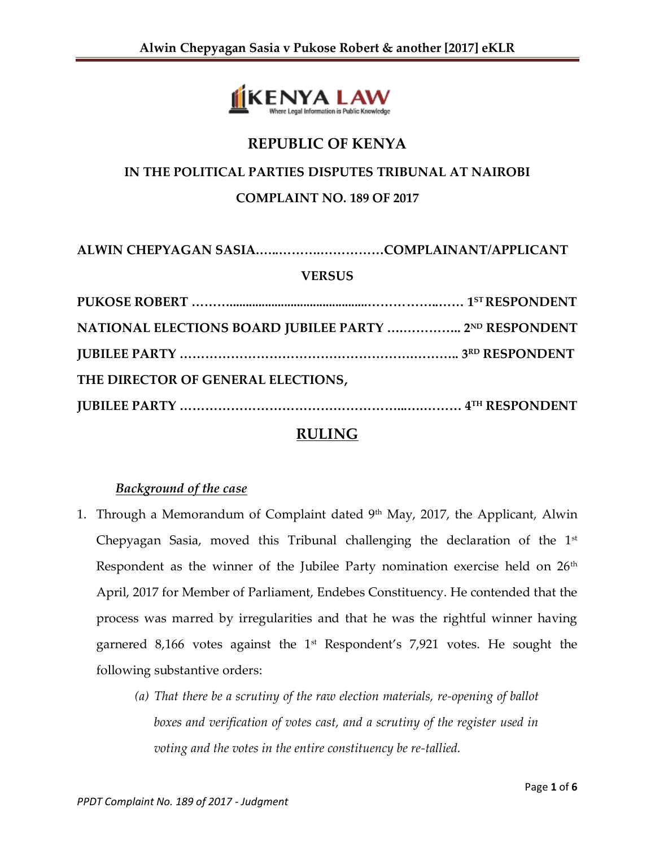

# **REPUBLIC OF KENYA**

# **IN THE POLITICAL PARTIES DISPUTES TRIBUNAL AT NAIROBI**

## **COMPLAINT NO. 189 OF 2017**

**ALWIN CHEPYAGAN SASIA.…..……….……………COMPLAINANT/APPLICANT**

### **VERSUS**

| NATIONAL ELECTIONS BOARD JUBILEE PARTY  2ND RESPONDENT |  |
|--------------------------------------------------------|--|
|                                                        |  |
| THE DIRECTOR OF GENERAL ELECTIONS,                     |  |
|                                                        |  |

## **RULING**

## *Background of the case*

- 1. Through a Memorandum of Complaint dated  $9<sup>th</sup>$  May, 2017, the Applicant, Alwin Chepyagan Sasia, moved this Tribunal challenging the declaration of the  $1<sup>st</sup>$ Respondent as the winner of the Jubilee Party nomination exercise held on  $26<sup>th</sup>$ April, 2017 for Member of Parliament, Endebes Constituency. He contended that the process was marred by irregularities and that he was the rightful winner having garnered 8,166 votes against the  $1<sup>st</sup>$  Respondent's 7,921 votes. He sought the following substantive orders:
	- *(a) That there be a scrutiny of the raw election materials, re-opening of ballot boxes and verification of votes cast, and a scrutiny of the register used in voting and the votes in the entire constituency be re-tallied.*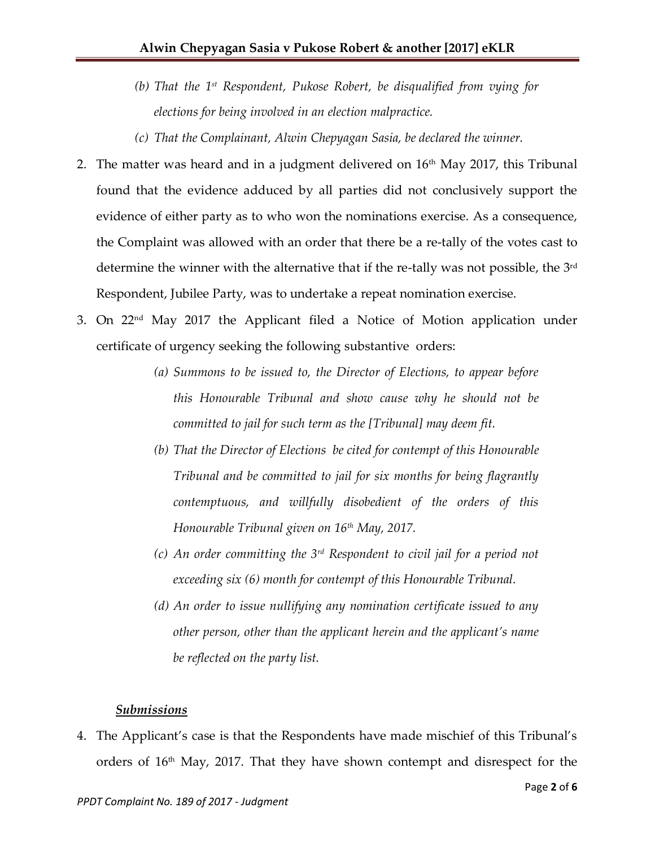- *(b) That the 1st Respondent, Pukose Robert, be disqualified from vying for elections for being involved in an election malpractice.*
- *(c) That the Complainant, Alwin Chepyagan Sasia, be declared the winner.*
- 2. The matter was heard and in a judgment delivered on  $16<sup>th</sup>$  May 2017, this Tribunal found that the evidence adduced by all parties did not conclusively support the evidence of either party as to who won the nominations exercise. As a consequence, the Complaint was allowed with an order that there be a re-tally of the votes cast to determine the winner with the alternative that if the re-tally was not possible, the 3<sup>rd</sup> Respondent, Jubilee Party, was to undertake a repeat nomination exercise.
- 3. On 22nd May 2017 the Applicant filed a Notice of Motion application under certificate of urgency seeking the following substantive orders:
	- *(a) Summons to be issued to, the Director of Elections, to appear before this Honourable Tribunal and show cause why he should not be committed to jail for such term as the [Tribunal] may deem fit.*
	- *(b) That the Director of Elections be cited for contempt of this Honourable Tribunal and be committed to jail for six months for being flagrantly contemptuous, and willfully disobedient of the orders of this Honourable Tribunal given on 16th May, 2017.*
	- *(c) An order committing the 3rd Respondent to civil jail for a period not exceeding six (6) month for contempt of this Honourable Tribunal.*
	- *(d) An order to issue nullifying any nomination certificate issued to any other person, other than the applicant herein and the applicant's name be reflected on the party list.*

#### *Submissions*

4. The Applicant's case is that the Respondents have made mischief of this Tribunal's orders of  $16<sup>th</sup>$  May, 2017. That they have shown contempt and disrespect for the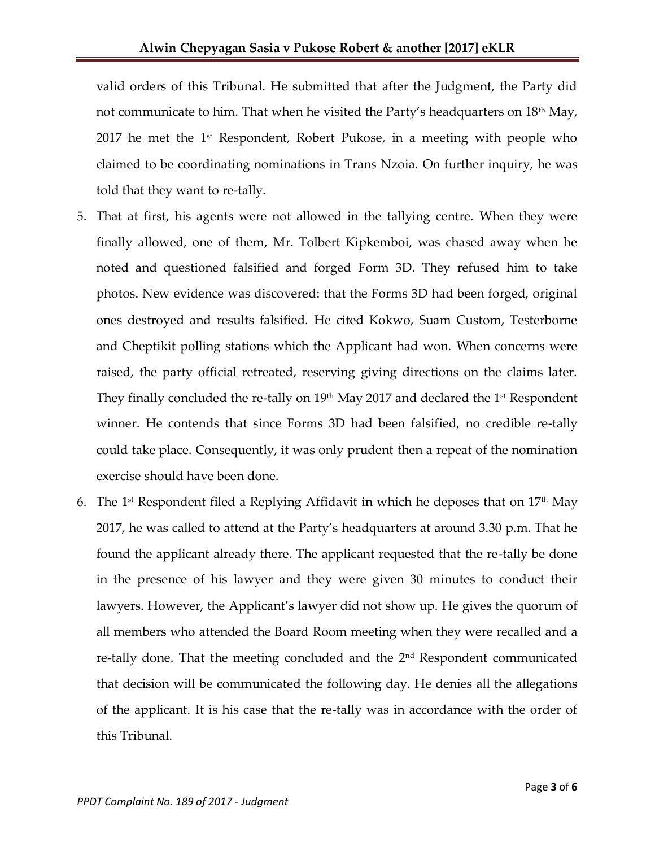valid orders of this Tribunal. He submitted that after the Judgment, the Party did not communicate to him. That when he visited the Party's headquarters on  $18<sup>th</sup>$  May, 2017 he met the  $1<sup>st</sup>$  Respondent, Robert Pukose, in a meeting with people who claimed to be coordinating nominations in Trans Nzoia. On further inquiry, he was told that they want to re-tally.

- 5. That at first, his agents were not allowed in the tallying centre. When they were finally allowed, one of them, Mr. Tolbert Kipkemboi, was chased away when he noted and questioned falsified and forged Form 3D. They refused him to take photos. New evidence was discovered: that the Forms 3D had been forged, original ones destroyed and results falsified. He cited Kokwo, Suam Custom, Testerborne and Cheptikit polling stations which the Applicant had won. When concerns were raised, the party official retreated, reserving giving directions on the claims later. They finally concluded the re-tally on  $19<sup>th</sup>$  May 2017 and declared the 1 $<sup>st</sup>$  Respondent</sup> winner. He contends that since Forms 3D had been falsified, no credible re-tally could take place. Consequently, it was only prudent then a repeat of the nomination exercise should have been done.
- 6. The 1<sup>st</sup> Respondent filed a Replying Affidavit in which he deposes that on  $17<sup>th</sup>$  May 2017, he was called to attend at the Party's headquarters at around 3.30 p.m. That he found the applicant already there. The applicant requested that the re-tally be done in the presence of his lawyer and they were given 30 minutes to conduct their lawyers. However, the Applicant's lawyer did not show up. He gives the quorum of all members who attended the Board Room meeting when they were recalled and a re-tally done. That the meeting concluded and the 2nd Respondent communicated that decision will be communicated the following day. He denies all the allegations of the applicant. It is his case that the re-tally was in accordance with the order of this Tribunal.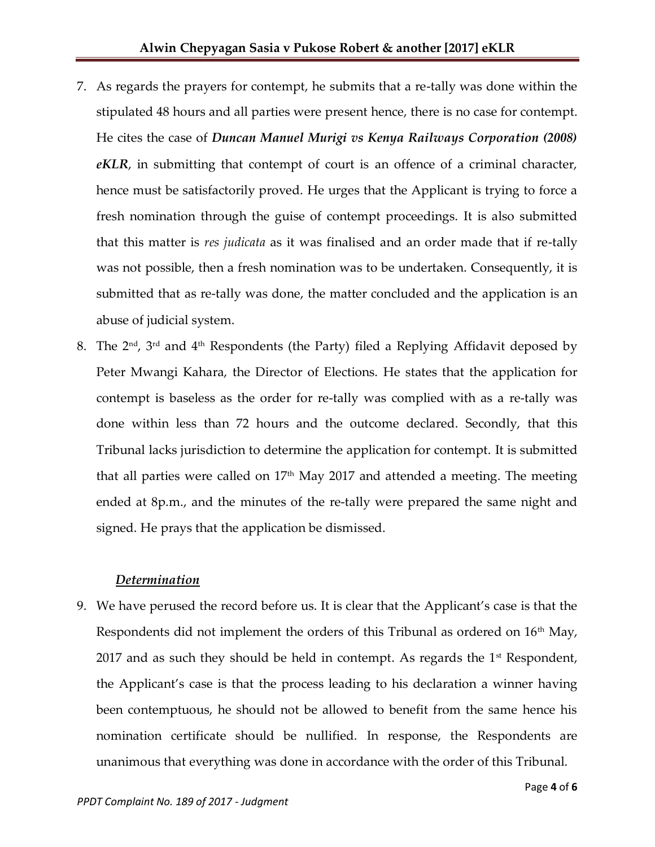- 7. As regards the prayers for contempt, he submits that a re-tally was done within the stipulated 48 hours and all parties were present hence, there is no case for contempt. He cites the case of *Duncan Manuel Murigi vs Kenya Railways Corporation (2008) eKLR*, in submitting that contempt of court is an offence of a criminal character, hence must be satisfactorily proved. He urges that the Applicant is trying to force a fresh nomination through the guise of contempt proceedings. It is also submitted that this matter is *res judicata* as it was finalised and an order made that if re-tally was not possible, then a fresh nomination was to be undertaken. Consequently, it is submitted that as re-tally was done, the matter concluded and the application is an abuse of judicial system.
- 8. The  $2<sup>nd</sup>$ ,  $3<sup>rd</sup>$  and  $4<sup>th</sup>$  Respondents (the Party) filed a Replying Affidavit deposed by Peter Mwangi Kahara, the Director of Elections. He states that the application for contempt is baseless as the order for re-tally was complied with as a re-tally was done within less than 72 hours and the outcome declared. Secondly, that this Tribunal lacks jurisdiction to determine the application for contempt. It is submitted that all parties were called on  $17<sup>th</sup>$  May 2017 and attended a meeting. The meeting ended at 8p.m., and the minutes of the re-tally were prepared the same night and signed. He prays that the application be dismissed.

### *Determination*

9. We have perused the record before us. It is clear that the Applicant's case is that the Respondents did not implement the orders of this Tribunal as ordered on 16<sup>th</sup> May, 2017 and as such they should be held in contempt. As regards the  $1<sup>st</sup>$  Respondent, the Applicant's case is that the process leading to his declaration a winner having been contemptuous, he should not be allowed to benefit from the same hence his nomination certificate should be nullified. In response, the Respondents are unanimous that everything was done in accordance with the order of this Tribunal.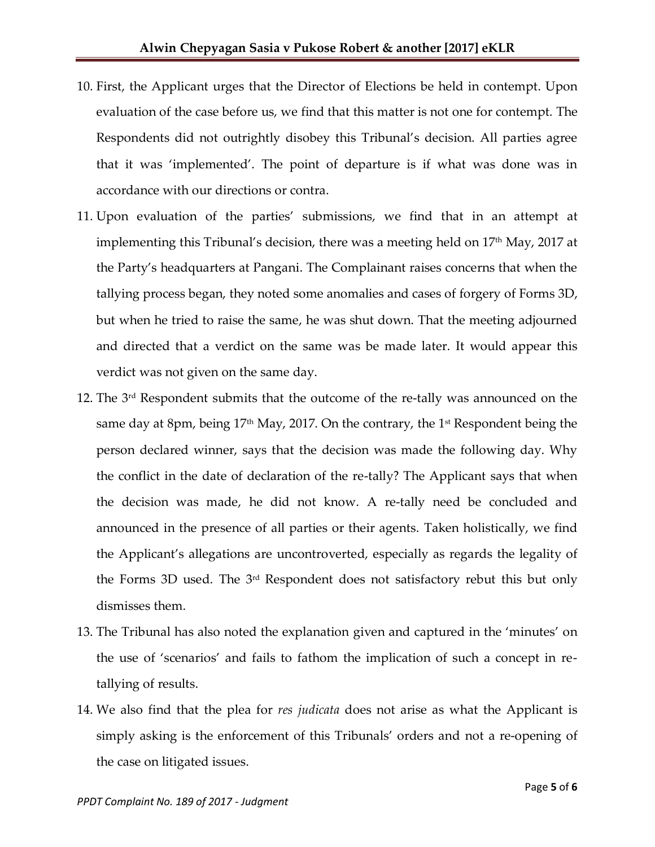- 10. First, the Applicant urges that the Director of Elections be held in contempt. Upon evaluation of the case before us, we find that this matter is not one for contempt. The Respondents did not outrightly disobey this Tribunal's decision. All parties agree that it was 'implemented'. The point of departure is if what was done was in accordance with our directions or contra.
- 11. Upon evaluation of the parties' submissions, we find that in an attempt at implementing this Tribunal's decision, there was a meeting held on  $17<sup>th</sup>$  May, 2017 at the Party's headquarters at Pangani. The Complainant raises concerns that when the tallying process began, they noted some anomalies and cases of forgery of Forms 3D, but when he tried to raise the same, he was shut down. That the meeting adjourned and directed that a verdict on the same was be made later. It would appear this verdict was not given on the same day.
- 12. The  $3<sup>rd</sup>$  Respondent submits that the outcome of the re-tally was announced on the same day at 8pm, being 17th May, 2017. On the contrary, the 1 st Respondent being the person declared winner, says that the decision was made the following day. Why the conflict in the date of declaration of the re-tally? The Applicant says that when the decision was made, he did not know. A re-tally need be concluded and announced in the presence of all parties or their agents. Taken holistically, we find the Applicant's allegations are uncontroverted, especially as regards the legality of the Forms 3D used. The 3rd Respondent does not satisfactory rebut this but only dismisses them.
- 13. The Tribunal has also noted the explanation given and captured in the 'minutes' on the use of 'scenarios' and fails to fathom the implication of such a concept in retallying of results.
- 14. We also find that the plea for *res judicata* does not arise as what the Applicant is simply asking is the enforcement of this Tribunals' orders and not a re-opening of the case on litigated issues.